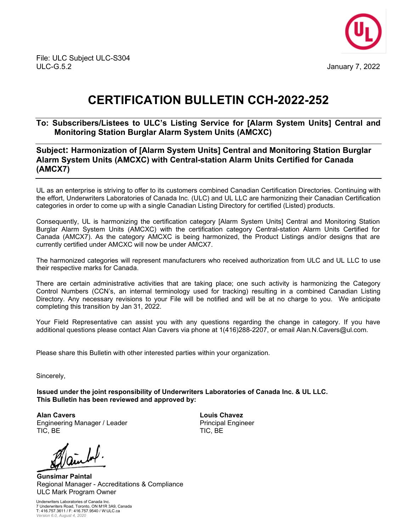

## **CERTIFICATION BULLETIN CCH-2022-252**

## **To: Subscribers/Listees to ULC's Listing Service for [Alarm System Units] Central and Monitoring Station Burglar Alarm System Units (AMCXC)**

## **Subject: Harmonization of [Alarm System Units] Central and Monitoring Station Burglar Alarm System Units (AMCXC) with Central-station Alarm Units Certified for Canada (AMCX7)**

UL as an enterprise is striving to offer to its customers combined Canadian Certification Directories. Continuing with the effort, Underwriters Laboratories of Canada Inc. (ULC) and UL LLC are harmonizing their Canadian Certification categories in order to come up with a single Canadian Listing Directory for certified (Listed) products.

Consequently, UL is harmonizing the certification category [Alarm System Units] Central and Monitoring Station Burglar Alarm System Units (AMCXC) with the certification category Central-station Alarm Units Certified for Canada (AMCX7). As the category AMCXC is being harmonized, the Product Listings and/or designs that are currently certified under AMCXC will now be under AMCX7.

The harmonized categories will represent manufacturers who received authorization from ULC and UL LLC to use their respective marks for Canada.

There are certain administrative activities that are taking place; one such activity is harmonizing the Category Control Numbers (CCN's, an internal terminology used for tracking) resulting in a combined Canadian Listing Directory. Any necessary revisions to your File will be notified and will be at no charge to you. We anticipate completing this transition by Jan 31, 2022.

Your Field Representative can assist you with any questions regarding the change in category. If you have additional questions please contact Alan Cavers via phone at 1(416)288-2207, or email Alan.N.Cavers@ul.com.

Please share this Bulletin with other interested parties within your organization.

Sincerely,

**Issued under the joint responsibility of Underwriters Laboratories of Canada Inc. & UL LLC. This Bulletin has been reviewed and approved by:** 

**Alan Cavers** Engineering Manager / Leader TIC, BE

**Gunsimar Paintal** Regional Manager - Accreditations & Compliance ULC Mark Program Owner

Underwriters Laboratories of Canada Inc. 7 Underwriters Road, Toronto, ON M1R 3A9, Canada T: 416.757.3611 / F: 416.757.9540 / W:ULC.ca *Version 6.0, August 4, 2020*

**Louis Chavez** Principal Engineer TIC, BE